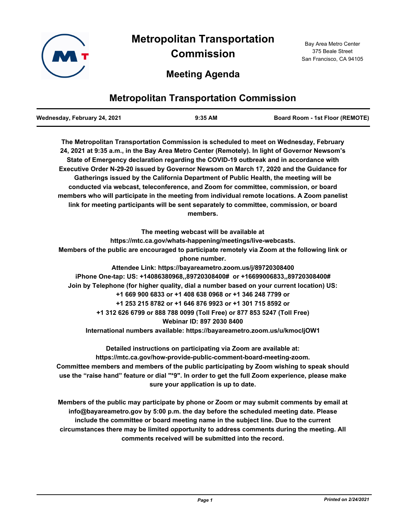

# **Meeting Agenda**

# **Metropolitan Transportation Commission**

| Wednesday, February 24, 2021 | $9:35$ AM | <b>Board Room - 1st Floor (REMOTE)</b> |
|------------------------------|-----------|----------------------------------------|
|                              |           |                                        |

**The Metropolitan Transportation Commission is scheduled to meet on Wednesday, February 24, 2021 at 9:35 a.m., in the Bay Area Metro Center (Remotely). In light of Governor Newsom's State of Emergency declaration regarding the COVID-19 outbreak and in accordance with Executive Order N-29-20 issued by Governor Newsom on March 17, 2020 and the Guidance for Gatherings issued by the California Department of Public Health, the meeting will be conducted via webcast, teleconference, and Zoom for committee, commission, or board members who will participate in the meeting from individual remote locations. A Zoom panelist link for meeting participants will be sent separately to committee, commission, or board members.**

**The meeting webcast will be available at https://mtc.ca.gov/whats-happening/meetings/live-webcasts. Members of the public are encouraged to participate remotely via Zoom at the following link or phone number. Attendee Link: https://bayareametro.zoom.us/j/89720308400 iPhone One-tap: US: +14086380968,,89720308400# or +16699006833,,89720308400# Join by Telephone (for higher quality, dial a number based on your current location) US: +1 669 900 6833 or +1 408 638 0968 or +1 346 248 7799 or +1 253 215 8782 or +1 646 876 9923 or +1 301 715 8592 or +1 312 626 6799 or 888 788 0099 (Toll Free) or 877 853 5247 (Toll Free) Webinar ID: 897 2030 8400 International numbers available: https://bayareametro.zoom.us/u/kmocljOW1**

**Detailed instructions on participating via Zoom are available at: https://mtc.ca.gov/how-provide-public-comment-board-meeting-zoom. Committee members and members of the public participating by Zoom wishing to speak should use the "raise hand" feature or dial "\*9". In order to get the full Zoom experience, please make sure your application is up to date.**

**Members of the public may participate by phone or Zoom or may submit comments by email at info@bayareametro.gov by 5:00 p.m. the day before the scheduled meeting date. Please include the committee or board meeting name in the subject line. Due to the current circumstances there may be limited opportunity to address comments during the meeting. All comments received will be submitted into the record.**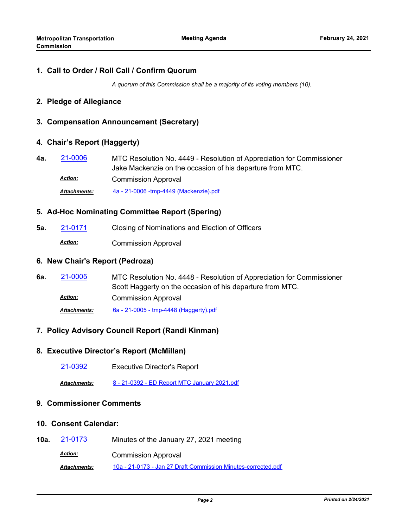### **1. Call to Order / Roll Call / Confirm Quorum**

*A quorum of this Commission shall be a majority of its voting members (10).*

### **2. Pledge of Allegiance**

# **3. Compensation Announcement (Secretary)**

# **4. Chair's Report (Haggerty)**

MTC Resolution No. 4449 - Resolution of Appreciation for Commissioner Jake Mackenzie on the occasion of his departure from MTC. **4a.** [21-0006](http://mtc.legistar.com/gateway.aspx?m=l&id=/matter.aspx?key=21599) Commission Approval *Action:*

*Attachments:* [4a - 21-0006 -tmp-4449 \(Mackenzie\).pdf](http://mtc.legistar.com/gateway.aspx?M=F&ID=f048b750-2bb3-4029-823f-02aa64431e2a.pdf)

# **5. Ad-Hoc Nominating Committee Report (Spering)**

**5a.** [21-0171](http://mtc.legistar.com/gateway.aspx?m=l&id=/matter.aspx?key=21764) Closing of Nominations and Election of Officers

Commission Approval *Action:*

### **6. New Chair's Report (Pedroza)**

MTC Resolution No. 4448 - Resolution of Appreciation for Commissioner Scott Haggerty on the occasion of his departure from MTC. **6a.** [21-0005](http://mtc.legistar.com/gateway.aspx?m=l&id=/matter.aspx?key=21598) Commission Approval *Action: Attachments:* [6a - 21-0005 - tmp-4448 \(Haggerty\).pdf](http://mtc.legistar.com/gateway.aspx?M=F&ID=ee22c8f5-8152-472a-9388-5155ce190b2b.pdf)

# **7. Policy Advisory Council Report (Randi Kinman)**

#### **8. Executive Director's Report (McMillan)**

[21-0392](http://mtc.legistar.com/gateway.aspx?m=l&id=/matter.aspx?key=21985) Executive Director's Report

*Attachments:* [8 - 21-0392 - ED Report MTC January 2021.pdf](http://mtc.legistar.com/gateway.aspx?M=F&ID=b1d9e593-f355-4890-80b0-7cd45a28def3.pdf)

# **9. Commissioner Comments**

#### **10. Consent Calendar:**

**10a.** [21-0173](http://mtc.legistar.com/gateway.aspx?m=l&id=/matter.aspx?key=21766) Minutes of the January 27, 2021 meeting Commission Approval *Action: Attachments:* [10a - 21-0173 - Jan 27 Draft Commission Minutes-corrected.pdf](http://mtc.legistar.com/gateway.aspx?M=F&ID=7ba0bef6-0dc0-4703-b4fb-40e1b5462f5b.pdf)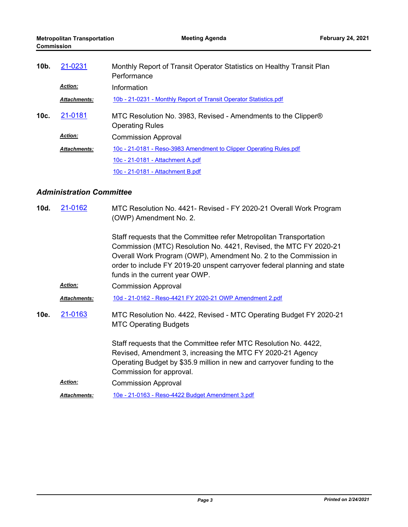| $10b$ . | 21-0231             | Monthly Report of Transit Operator Statistics on Healthy Transit Plan<br>Performance    |
|---------|---------------------|-----------------------------------------------------------------------------------------|
|         | <b>Action:</b>      | Information                                                                             |
|         | <b>Attachments:</b> | 10b - 21-0231 - Monthly Report of Transit Operator Statistics.pdf                       |
| 10c.    | 21-0181             | MTC Resolution No. 3983, Revised - Amendments to the Clipper®<br><b>Operating Rules</b> |
|         | <b>Action:</b>      | <b>Commission Approval</b>                                                              |
|         | <b>Attachments:</b> | 10c - 21-0181 - Reso-3983 Amendment to Clipper Operating Rules.pdf                      |
|         |                     | 10c - 21-0181 - Attachment A.pdf                                                        |
|         |                     | 10c - 21-0181 - Attachment B.pdf                                                        |

# *Administration Committee*

| 10d. | 21-0162             | MTC Resolution No. 4421- Revised - FY 2020-21 Overall Work Program<br>(OWP) Amendment No. 2.                                                                                                                                                                                                                               |
|------|---------------------|----------------------------------------------------------------------------------------------------------------------------------------------------------------------------------------------------------------------------------------------------------------------------------------------------------------------------|
|      |                     | Staff requests that the Committee refer Metropolitan Transportation<br>Commission (MTC) Resolution No. 4421, Revised, the MTC FY 2020-21<br>Overall Work Program (OWP), Amendment No. 2 to the Commission in<br>order to include FY 2019-20 unspent carryover federal planning and state<br>funds in the current year OWP. |
|      | <b>Action:</b>      | <b>Commission Approval</b>                                                                                                                                                                                                                                                                                                 |
|      | <b>Attachments:</b> | 10d - 21-0162 - Reso-4421 FY 2020-21 OWP Amendment 2.pdf                                                                                                                                                                                                                                                                   |
| 10e. | 21-0163             | MTC Resolution No. 4422, Revised - MTC Operating Budget FY 2020-21<br><b>MTC Operating Budgets</b>                                                                                                                                                                                                                         |
|      |                     | Staff requests that the Committee refer MTC Resolution No. 4422,<br>Revised, Amendment 3, increasing the MTC FY 2020-21 Agency<br>Operating Budget by \$35.9 million in new and carryover funding to the<br>Commission for approval.                                                                                       |
|      | <b>Action:</b>      | <b>Commission Approval</b>                                                                                                                                                                                                                                                                                                 |
|      | <b>Attachments:</b> | 10e - 21-0163 - Reso-4422 Budget Amendment 3.pdf                                                                                                                                                                                                                                                                           |
|      |                     |                                                                                                                                                                                                                                                                                                                            |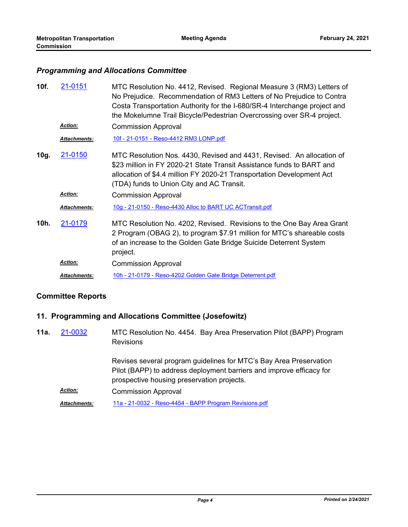### *Programming and Allocations Committee*

| 10f. | 21-0151             | MTC Resolution No. 4412, Revised. Regional Measure 3 (RM3) Letters of<br>No Prejudice. Recommendation of RM3 Letters of No Prejudice to Contra<br>Costa Transportation Authority for the I-680/SR-4 Interchange project and<br>the Mokelumne Trail Bicycle/Pedestrian Overcrossing over SR-4 project. |
|------|---------------------|-------------------------------------------------------------------------------------------------------------------------------------------------------------------------------------------------------------------------------------------------------------------------------------------------------|
|      | <b>Action:</b>      | <b>Commission Approval</b>                                                                                                                                                                                                                                                                            |
|      | <b>Attachments:</b> | <u>10f - 21-0151 - Reso-4412 RM3 LONP.pdf</u>                                                                                                                                                                                                                                                         |
| 10g. | 21-0150             | MTC Resolution Nos. 4430, Revised and 4431, Revised. An allocation of<br>\$23 million in FY 2020-21 State Transit Assistance funds to BART and<br>allocation of \$4.4 million FY 2020-21 Transportation Development Act<br>(TDA) funds to Union City and AC Transit.                                  |
|      | <b>Action:</b>      | <b>Commission Approval</b>                                                                                                                                                                                                                                                                            |
|      | Attachments:        | 10g - 21-0150 - Reso-4430 Alloc to BART UC ACTransit.pdf                                                                                                                                                                                                                                              |
| 10h. | 21-0179             | MTC Resolution No. 4202, Revised. Revisions to the One Bay Area Grant<br>2 Program (OBAG 2), to program \$7.91 million for MTC's shareable costs<br>of an increase to the Golden Gate Bridge Suicide Deterrent System<br>project.                                                                     |
|      | <b>Action:</b>      | <b>Commission Approval</b>                                                                                                                                                                                                                                                                            |
|      | <b>Attachments:</b> | 10h - 21-0179 - Reso-4202 Golden Gate Bridge Deterrent.pdf                                                                                                                                                                                                                                            |

# **Committee Reports**

# **11. Programming and Allocations Committee (Josefowitz)**

MTC Resolution No. 4454. Bay Area Preservation Pilot (BAPP) Program **Revisions 11a.** [21-0032](http://mtc.legistar.com/gateway.aspx?m=l&id=/matter.aspx?key=21625)

> Revises several program guidelines for MTC's Bay Area Preservation Pilot (BAPP) to address deployment barriers and improve efficacy for prospective housing preservation projects.

Commission Approval *Action:*

*Attachments:* [11a - 21-0032 - Reso-4454 - BAPP Program Revisions.pdf](http://mtc.legistar.com/gateway.aspx?M=F&ID=1daa467f-3fe5-480d-bc06-857604165540.pdf)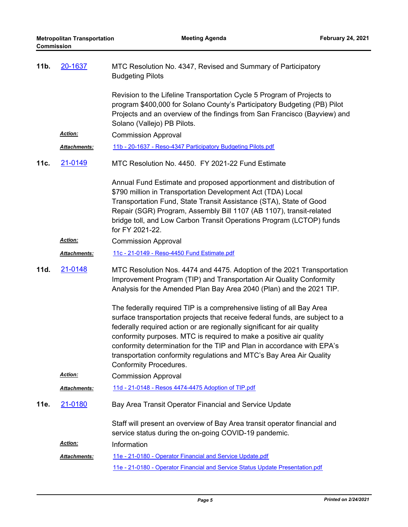| 11b. | 20-1637              | MTC Resolution No. 4347, Revised and Summary of Participatory<br><b>Budgeting Pilots</b>                                                                                                                                                                                                                                                                                                                                                                                                   |
|------|----------------------|--------------------------------------------------------------------------------------------------------------------------------------------------------------------------------------------------------------------------------------------------------------------------------------------------------------------------------------------------------------------------------------------------------------------------------------------------------------------------------------------|
|      |                      | Revision to the Lifeline Transportation Cycle 5 Program of Projects to<br>program \$400,000 for Solano County's Participatory Budgeting (PB) Pilot<br>Projects and an overview of the findings from San Francisco (Bayview) and<br>Solano (Vallejo) PB Pilots.                                                                                                                                                                                                                             |
|      | Action:              | <b>Commission Approval</b>                                                                                                                                                                                                                                                                                                                                                                                                                                                                 |
|      | Attachments:         | 11b - 20-1637 - Reso-4347 Participatory Budgeting Pilots.pdf                                                                                                                                                                                                                                                                                                                                                                                                                               |
| 11c. | 21-0149              | MTC Resolution No. 4450. FY 2021-22 Fund Estimate                                                                                                                                                                                                                                                                                                                                                                                                                                          |
|      |                      | Annual Fund Estimate and proposed apportionment and distribution of<br>\$790 million in Transportation Development Act (TDA) Local<br>Transportation Fund, State Transit Assistance (STA), State of Good<br>Repair (SGR) Program, Assembly Bill 1107 (AB 1107), transit-related<br>bridge toll, and Low Carbon Transit Operations Program (LCTOP) funds<br>for FY 2021-22.                                                                                                                 |
|      | Action:              | <b>Commission Approval</b>                                                                                                                                                                                                                                                                                                                                                                                                                                                                 |
|      | Attachments:         | 11c - 21-0149 - Reso-4450 Fund Estimate.pdf                                                                                                                                                                                                                                                                                                                                                                                                                                                |
| 11d. | 21-0148              | MTC Resolution Nos. 4474 and 4475. Adoption of the 2021 Transportation<br>Improvement Program (TIP) and Transportation Air Quality Conformity<br>Analysis for the Amended Plan Bay Area 2040 (Plan) and the 2021 TIP.                                                                                                                                                                                                                                                                      |
|      |                      | The federally required TIP is a comprehensive listing of all Bay Area<br>surface transportation projects that receive federal funds, are subject to a<br>federally required action or are regionally significant for air quality<br>conformity purposes. MTC is required to make a positive air quality<br>conformity determination for the TIP and Plan in accordance with EPA's<br>transportation conformity regulations and MTC's Bay Area Air Quality<br><b>Conformity Procedures.</b> |
|      | Action:              | <b>Commission Approval</b>                                                                                                                                                                                                                                                                                                                                                                                                                                                                 |
|      | <u> Attachments:</u> | 11d - 21-0148 - Resos 4474-4475 Adoption of TIP.pdf                                                                                                                                                                                                                                                                                                                                                                                                                                        |
| 11e. | 21-0180              | Bay Area Transit Operator Financial and Service Update                                                                                                                                                                                                                                                                                                                                                                                                                                     |
|      |                      | Staff will present an overview of Bay Area transit operator financial and<br>service status during the on-going COVID-19 pandemic.                                                                                                                                                                                                                                                                                                                                                         |
|      | <u>Action:</u>       | Information                                                                                                                                                                                                                                                                                                                                                                                                                                                                                |
|      | Attachments:         | 11e - 21-0180 - Operator Financial and Service Update.pdf                                                                                                                                                                                                                                                                                                                                                                                                                                  |
|      |                      | 11e - 21-0180 - Operator Financial and Service Status Update Presentation.pdf                                                                                                                                                                                                                                                                                                                                                                                                              |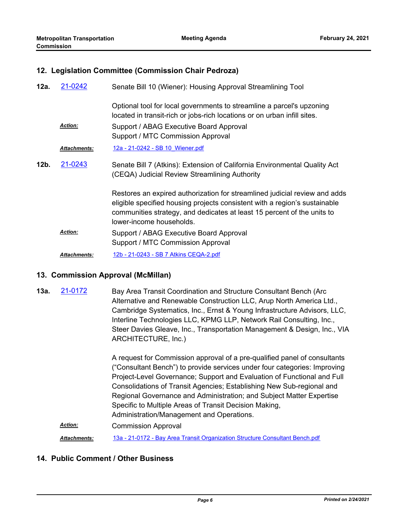### **12. Legislation Committee (Commission Chair Pedroza)**

| 12a. | 21-0242             | Senate Bill 10 (Wiener): Housing Approval Streamlining Tool                                                                                                                                                                                                     |
|------|---------------------|-----------------------------------------------------------------------------------------------------------------------------------------------------------------------------------------------------------------------------------------------------------------|
|      |                     | Optional tool for local governments to streamline a parcel's upzoning<br>located in transit-rich or jobs-rich locations or on urban infill sites.                                                                                                               |
|      | <b>Action:</b>      | Support / ABAG Executive Board Approval<br>Support / MTC Commission Approval                                                                                                                                                                                    |
|      | <b>Attachments:</b> | 12a - 21-0242 - SB 10 Wiener.pdf                                                                                                                                                                                                                                |
| 12b. | 21-0243             | Senate Bill 7 (Atkins): Extension of California Environmental Quality Act<br>(CEQA) Judicial Review Streamlining Authority                                                                                                                                      |
|      |                     | Restores an expired authorization for streamlined judicial review and adds<br>eligible specified housing projects consistent with a region's sustainable<br>communities strategy, and dedicates at least 15 percent of the units to<br>lower-income households. |
|      | <b>Action:</b>      | Support / ABAG Executive Board Approval<br>Support / MTC Commission Approval                                                                                                                                                                                    |
|      | <b>Attachments:</b> | 12b - 21-0243 - SB 7 Atkins CEQA-2.pdf                                                                                                                                                                                                                          |

#### **13. Commission Approval (McMillan)**

Bay Area Transit Coordination and Structure Consultant Bench (Arc Alternative and Renewable Construction LLC, Arup North America Ltd., Cambridge Systematics, Inc., Ernst & Young Infrastructure Advisors, LLC, Interline Technologies LLC, KPMG LLP, Network Rail Consulting, Inc., Steer Davies Gleave, Inc., Transportation Management & Design, Inc., VIA ARCHITECTURE, Inc.) **13a.** [21-0172](http://mtc.legistar.com/gateway.aspx?m=l&id=/matter.aspx?key=21765)

> A request for Commission approval of a pre-qualified panel of consultants ("Consultant Bench") to provide services under four categories: Improving Project-Level Governance; Support and Evaluation of Functional and Full Consolidations of Transit Agencies; Establishing New Sub-regional and Regional Governance and Administration; and Subject Matter Expertise Specific to Multiple Areas of Transit Decision Making, Administration/Management and Operations.

Commission Approval *Action:*

*Attachments:* [13a - 21-0172 - Bay Area Transit Organization Structure Consultant Bench.pdf](http://mtc.legistar.com/gateway.aspx?M=F&ID=8a51872e-1e98-4052-95da-61e96635d65b.pdf)

# **14. Public Comment / Other Business**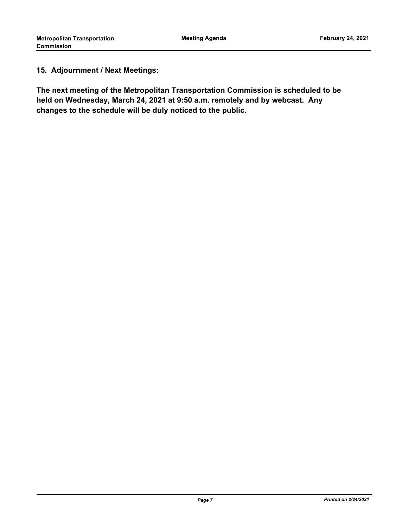# **15. Adjournment / Next Meetings:**

**The next meeting of the Metropolitan Transportation Commission is scheduled to be held on Wednesday, March 24, 2021 at 9:50 a.m. remotely and by webcast. Any changes to the schedule will be duly noticed to the public.**